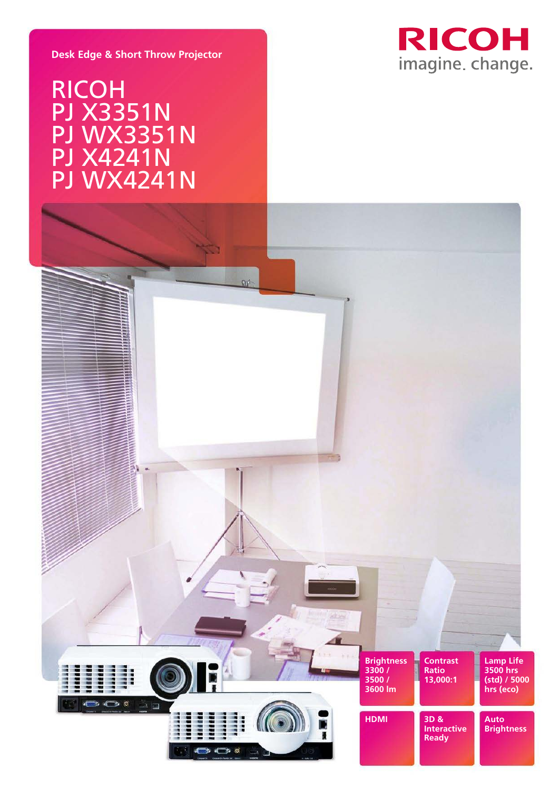

## **Desk Edge & Short Throw Projector**

# RICOH PJ X3351N **PJ WX3351N** PJ WX3351N PJ X4241N PJ WX4241N **PI IAN/3 PJ WX33**

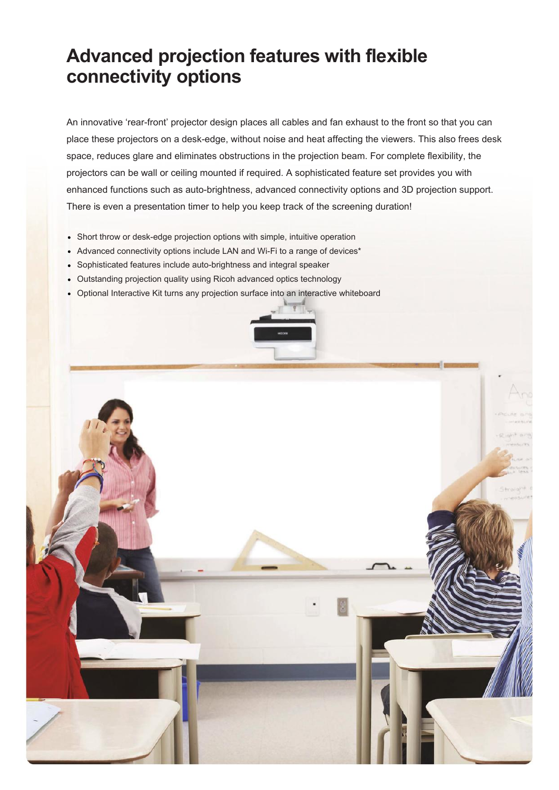# **Advanced projection features with flexible connectivity options**

An innovative 'rear-front' projector design places all cables and fan exhaust to the front so that you can place these projectors on a desk-edge, without noise and heat affecting the viewers. This also frees desk space, reduces glare and eliminates obstructions in the projection beam. For complete flexibility, the projectors can be wall or ceiling mounted if required. A sophisticated feature set provides you with enhanced functions such as auto-brightness, advanced connectivity options and 3D projection support. There is even a presentation timer to help you keep track of the screening duration!

- Short throw or desk-edge projection options with simple, intuitive operation
- Advanced connectivity options include LAN and Wi-Fi to a range of devices\*
- Sophisticated features include auto-brightness and integral speaker
- Outstanding projection quality using Ricoh advanced optics technology
- Optional Interactive Kit turns any projection surface into an interactive whiteboard



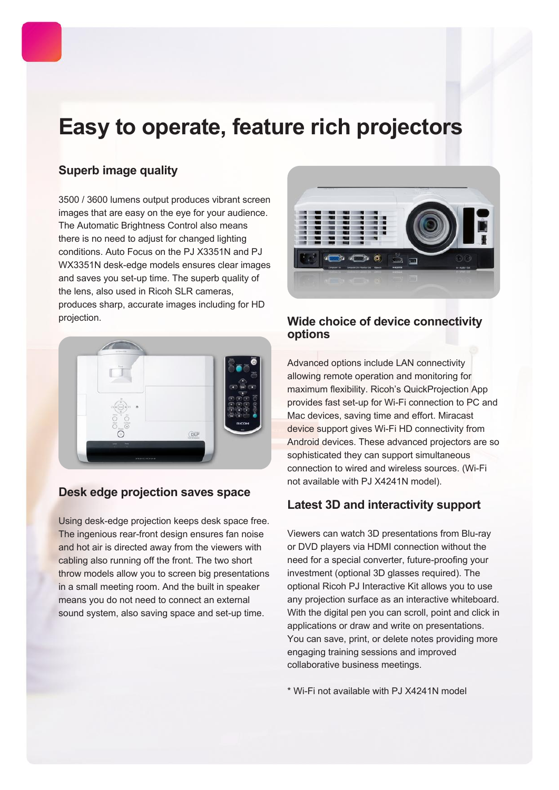# **Easy to operate, feature rich projectors**

# **Superb image quality**

3500 / 3600 lumens output produces vibrant screen images that are easy on the eye for your audience. The Automatic Brightness Control also means there is no need to adjust for changed lighting conditions. Auto Focus on the PJ X3351N and PJ WX3351N desk-edge models ensures clear images and saves you set-up time. The superb quality of the lens, also used in Ricoh SLR cameras, produces sharp, accurate images including for HD projection.



# **Desk edge projection saves space**

Using desk-edge projection keeps desk space free. The ingenious rear-front design ensures fan noise and hot air is directed away from the viewers with cabling also running off the front. The two short throw models allow you to screen big presentations in a small meeting room. And the built in speaker means you do not need to connect an external sound system, also saving space and set-up time.



# **Wide choice of device connectivity options**

Advanced options include LAN connectivity allowing remote operation and monitoring for maximum flexibility. Ricoh's QuickProjection App provides fast set-up for Wi-Fi connection to PC and Mac devices, saving time and effort. Miracast device support gives Wi-Fi HD connectivity from Android devices. These advanced projectors are so sophisticated they can support simultaneous connection to wired and wireless sources. (Wi-Fi not available with PJ X4241N model).

# **Latest 3D and interactivity support**

Viewers can watch 3D presentations from Blu-ray or DVD players via HDMI connection without the need for a special converter, future-proofing your investment (optional 3D glasses required). The optional Ricoh PJ Interactive Kit allows you to use any projection surface as an interactive whiteboard. With the digital pen you can scroll, point and click in applications or draw and write on presentations. You can save, print, or delete notes providing more engaging training sessions and improved collaborative business meetings.

\* Wi-Fi not available with PJ X4241N model